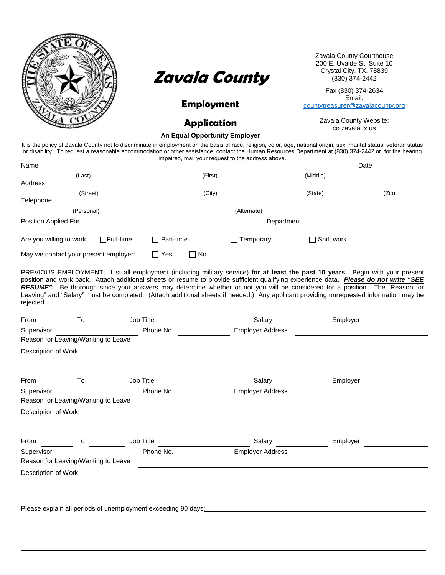



# **Employment**

Zavala County Courthouse 200 E. Uvalde St. Suite 10 (830) 374-2442

Fax (830) 374-2634 Email:

[countytreasurer@zavalacounty.org](mailto:countytreasurer@zavalacounty.org)

**Application** Zavala County Website: co.zavala.tx.us

**An Equal Opportunity Employer**

Name Date

It is the policy of Zavala County not to discriminate in employment on the basis of race, religion, color, age, national origin, sex, marital status, veteran status or disability. To request a reasonable accommodation or other assistance, contact the Human Resources Department at (830) 374-2442 or, for the hearing impaired, mail your request to the address above.

|                          | (Last)                                                                                   |                                                               |                  | (First)   |                                                                                                                                                                                                                                                                                                                                                                                                                                                                                                                                                | (Middle)   |       |
|--------------------------|------------------------------------------------------------------------------------------|---------------------------------------------------------------|------------------|-----------|------------------------------------------------------------------------------------------------------------------------------------------------------------------------------------------------------------------------------------------------------------------------------------------------------------------------------------------------------------------------------------------------------------------------------------------------------------------------------------------------------------------------------------------------|------------|-------|
| Address                  |                                                                                          |                                                               |                  | (City)    |                                                                                                                                                                                                                                                                                                                                                                                                                                                                                                                                                | (State)    | (Zip) |
| Telephone                | (Street)                                                                                 |                                                               |                  |           |                                                                                                                                                                                                                                                                                                                                                                                                                                                                                                                                                |            |       |
|                          | (Personal)                                                                               |                                                               |                  |           | (Alternate)                                                                                                                                                                                                                                                                                                                                                                                                                                                                                                                                    |            |       |
| Position Applied For     |                                                                                          |                                                               |                  |           | Department                                                                                                                                                                                                                                                                                                                                                                                                                                                                                                                                     |            |       |
| Are you willing to work: |                                                                                          | $\Box$ Full-time                                              | $\Box$ Part-time |           | $\Box$ Temporary                                                                                                                                                                                                                                                                                                                                                                                                                                                                                                                               | Shift work |       |
|                          | May we contact your present employer:                                                    |                                                               | $\Box$ Yes       | $\Box$ No |                                                                                                                                                                                                                                                                                                                                                                                                                                                                                                                                                |            |       |
| rejected.                |                                                                                          |                                                               |                  |           | PREVIOUS EMPLOYMENT: List all employment (including military service) for at least the past 10 years. Begin with your present<br>position and work back. Attach additional sheets or resume to provide sufficient qualifying experience data. Please do not write "SEE<br>RESUME". Be thorough since your answers may determine whether or not you will be considered for a position. The "Reason for<br>Leaving" and "Salary" must be completed. (Attach additional sheets if needed.) Any applicant providing unrequested information may be |            |       |
| From                     | $\frac{1}{\sqrt{1-\frac{1}{2}}\sqrt{1-\frac{1}{2}}\left(\frac{1}{2}-\frac{1}{2}\right)}$ | Job Title                                                     |                  |           |                                                                                                                                                                                                                                                                                                                                                                                                                                                                                                                                                | Employer   |       |
| Supervisor               |                                                                                          |                                                               |                  | Phone No. | <b>Employer Address</b>                                                                                                                                                                                                                                                                                                                                                                                                                                                                                                                        |            |       |
|                          | Reason for Leaving/Wanting to Leave                                                      |                                                               |                  |           |                                                                                                                                                                                                                                                                                                                                                                                                                                                                                                                                                |            |       |
| Description of Work      |                                                                                          |                                                               |                  |           |                                                                                                                                                                                                                                                                                                                                                                                                                                                                                                                                                |            |       |
|                          |                                                                                          |                                                               |                  |           |                                                                                                                                                                                                                                                                                                                                                                                                                                                                                                                                                |            |       |
| From                     | To                                                                                       | Job Title                                                     |                  |           | Salary                                                                                                                                                                                                                                                                                                                                                                                                                                                                                                                                         | Employer   |       |
| Supervisor               |                                                                                          |                                                               | Phone No.        |           | <b>Employer Address</b>                                                                                                                                                                                                                                                                                                                                                                                                                                                                                                                        |            |       |
|                          | Reason for Leaving/Wanting to Leave                                                      |                                                               |                  |           |                                                                                                                                                                                                                                                                                                                                                                                                                                                                                                                                                |            |       |
| Description of Work      |                                                                                          |                                                               |                  |           |                                                                                                                                                                                                                                                                                                                                                                                                                                                                                                                                                |            |       |
|                          |                                                                                          |                                                               |                  |           |                                                                                                                                                                                                                                                                                                                                                                                                                                                                                                                                                |            |       |
| From                     | To                                                                                       | <b>Job Title</b>                                              |                  |           | Salary                                                                                                                                                                                                                                                                                                                                                                                                                                                                                                                                         | Employer   |       |
| Supervisor               |                                                                                          |                                                               | Phone No.        |           | <b>Employer Address</b>                                                                                                                                                                                                                                                                                                                                                                                                                                                                                                                        |            |       |
|                          | Reason for Leaving/Wanting to Leave                                                      |                                                               |                  |           |                                                                                                                                                                                                                                                                                                                                                                                                                                                                                                                                                |            |       |
| Description of Work      |                                                                                          |                                                               |                  |           |                                                                                                                                                                                                                                                                                                                                                                                                                                                                                                                                                |            |       |
|                          |                                                                                          |                                                               |                  |           |                                                                                                                                                                                                                                                                                                                                                                                                                                                                                                                                                |            |       |
|                          |                                                                                          | Please explain all periods of unemployment exceeding 90 days: |                  |           |                                                                                                                                                                                                                                                                                                                                                                                                                                                                                                                                                |            |       |
|                          |                                                                                          |                                                               |                  |           |                                                                                                                                                                                                                                                                                                                                                                                                                                                                                                                                                |            |       |
|                          |                                                                                          |                                                               |                  |           |                                                                                                                                                                                                                                                                                                                                                                                                                                                                                                                                                |            |       |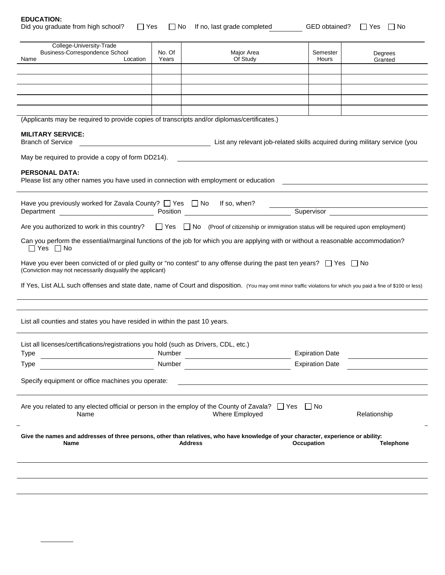| <b>EDUCATION:</b> |  |
|-------------------|--|
|-------------------|--|

| ----------                                                                |  |                          |  |
|---------------------------------------------------------------------------|--|--------------------------|--|
| Did you graduate from high school? □ Yes □ No If no, last grade completed |  | GED obtained? □ Yes □ No |  |

| GED obtained? |  |
|---------------|--|
|---------------|--|

|  | ×<br>×<br>۰. |  |  |
|--|--------------|--|--|
|--|--------------|--|--|

| College-University-Trade<br>Business-Correspondence School                                                                        |          | No. Of | Major Area                                                                                                                                                       | Semester               |                    |
|-----------------------------------------------------------------------------------------------------------------------------------|----------|--------|------------------------------------------------------------------------------------------------------------------------------------------------------------------|------------------------|--------------------|
| Name                                                                                                                              | Location | Years  | Of Study                                                                                                                                                         | Hours                  | Degrees<br>Granted |
|                                                                                                                                   |          |        |                                                                                                                                                                  |                        |                    |
|                                                                                                                                   |          |        |                                                                                                                                                                  |                        |                    |
|                                                                                                                                   |          |        |                                                                                                                                                                  |                        |                    |
|                                                                                                                                   |          |        |                                                                                                                                                                  |                        |                    |
|                                                                                                                                   |          |        |                                                                                                                                                                  |                        |                    |
|                                                                                                                                   |          |        |                                                                                                                                                                  |                        |                    |
|                                                                                                                                   |          |        | (Applicants may be required to provide copies of transcripts and/or diplomas/certificates.)                                                                      |                        |                    |
|                                                                                                                                   |          |        |                                                                                                                                                                  |                        |                    |
| <b>MILITARY SERVICE:</b>                                                                                                          |          |        |                                                                                                                                                                  |                        |                    |
| <b>Branch of Service</b>                                                                                                          |          |        | List any relevant job-related skills acquired during military service (you                                                                                       |                        |                    |
|                                                                                                                                   |          |        |                                                                                                                                                                  |                        |                    |
| May be required to provide a copy of form DD214).                                                                                 |          |        |                                                                                                                                                                  |                        |                    |
|                                                                                                                                   |          |        |                                                                                                                                                                  |                        |                    |
| <b>PERSONAL DATA:</b>                                                                                                             |          |        |                                                                                                                                                                  |                        |                    |
|                                                                                                                                   |          |        | Please list any other names you have used in connection with employment or education                                                                             |                        |                    |
|                                                                                                                                   |          |        |                                                                                                                                                                  |                        |                    |
|                                                                                                                                   |          |        |                                                                                                                                                                  |                        |                    |
| Have you previously worked for Zavala County? $\Box$ Yes $\Box$ No If so, when?                                                   |          |        |                                                                                                                                                                  |                        |                    |
|                                                                                                                                   |          |        |                                                                                                                                                                  |                        |                    |
|                                                                                                                                   |          |        |                                                                                                                                                                  |                        |                    |
|                                                                                                                                   |          |        | Are you authorized to work in this country? $\square$ Yes $\square$ No (Proof of citizenship or immigration status will be required upon employment)             |                        |                    |
|                                                                                                                                   |          |        | Can you perform the essential/marginal functions of the job for which you are applying with or without a reasonable accommodation?                               |                        |                    |
| $\Box$ Yes $\Box$ No                                                                                                              |          |        |                                                                                                                                                                  |                        |                    |
|                                                                                                                                   |          |        |                                                                                                                                                                  |                        |                    |
|                                                                                                                                   |          |        | Have you ever been convicted of or pled guilty or "no contest" to any offense during the past ten years? $\Box$ Yes $\Box$ No                                    |                        |                    |
| (Conviction may not necessarily disqualify the applicant)                                                                         |          |        |                                                                                                                                                                  |                        |                    |
|                                                                                                                                   |          |        |                                                                                                                                                                  |                        |                    |
|                                                                                                                                   |          |        | If Yes, List ALL such offenses and state date, name of Court and disposition. (You may omit minor traffic violations for which you paid a fine of \$100 or less) |                        |                    |
|                                                                                                                                   |          |        |                                                                                                                                                                  |                        |                    |
|                                                                                                                                   |          |        |                                                                                                                                                                  |                        |                    |
|                                                                                                                                   |          |        |                                                                                                                                                                  |                        |                    |
| List all counties and states you have resided in within the past 10 years.                                                        |          |        |                                                                                                                                                                  |                        |                    |
|                                                                                                                                   |          |        |                                                                                                                                                                  |                        |                    |
|                                                                                                                                   |          |        |                                                                                                                                                                  |                        |                    |
| List all licenses/certifications/registrations you hold (such as Drivers, CDL, etc.)                                              |          |        |                                                                                                                                                                  |                        |                    |
| <b>Type</b>                                                                                                                       |          | Number |                                                                                                                                                                  | <b>Expiration Date</b> |                    |
| Type                                                                                                                              |          | Number |                                                                                                                                                                  | <b>Expiration Date</b> |                    |
|                                                                                                                                   |          |        |                                                                                                                                                                  |                        |                    |
| Specify equipment or office machines you operate:                                                                                 |          |        |                                                                                                                                                                  |                        |                    |
|                                                                                                                                   |          |        |                                                                                                                                                                  |                        |                    |
|                                                                                                                                   |          |        |                                                                                                                                                                  |                        |                    |
|                                                                                                                                   |          |        | Are you related to any elected official or person in the employ of the County of Zavala? $\Box$ Yes $\Box$ No                                                    |                        |                    |
| Name                                                                                                                              |          |        | Where Employed                                                                                                                                                   |                        | Relationship       |
|                                                                                                                                   |          |        |                                                                                                                                                                  |                        |                    |
|                                                                                                                                   |          |        |                                                                                                                                                                  |                        |                    |
| Give the names and addresses of three persons, other than relatives, who have knowledge of your character, experience or ability: |          |        |                                                                                                                                                                  |                        |                    |
| <b>Address</b><br><b>Occupation</b><br><b>Telephone</b><br>Name                                                                   |          |        |                                                                                                                                                                  |                        |                    |
|                                                                                                                                   |          |        |                                                                                                                                                                  |                        |                    |
|                                                                                                                                   |          |        |                                                                                                                                                                  |                        |                    |
|                                                                                                                                   |          |        |                                                                                                                                                                  |                        |                    |
|                                                                                                                                   |          |        |                                                                                                                                                                  |                        |                    |
|                                                                                                                                   |          |        |                                                                                                                                                                  |                        |                    |
|                                                                                                                                   |          |        |                                                                                                                                                                  |                        |                    |
|                                                                                                                                   |          |        |                                                                                                                                                                  |                        |                    |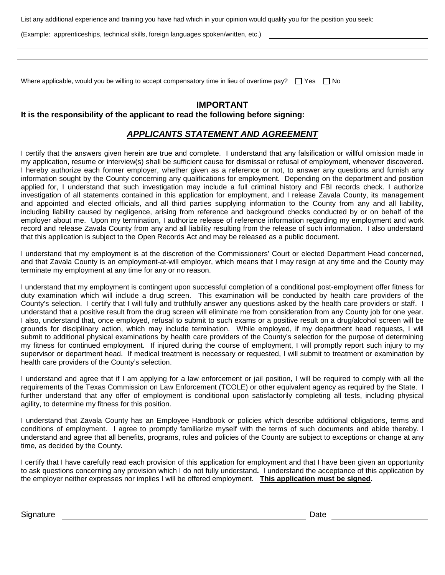List any additional experience and training you have had which in your opinion would qualify you for the position you seek:

(Example: apprenticeships, technical skills, foreign languages spoken/written, etc.)

Where applicable, would you be willing to accept compensatory time in lieu of overtime pay?  $\Box$  Yes  $\Box$  No

# **IMPORTANT**

### **It is the responsibility of the applicant to read the following before signing:**

## *APPLICANTS STATEMENT AND AGREEMENT*

I certify that the answers given herein are true and complete. I understand that any falsification or willful omission made in my application, resume or interview(s) shall be sufficient cause for dismissal or refusal of employment, whenever discovered. I hereby authorize each former employer, whether given as a reference or not, to answer any questions and furnish any information sought by the County concerning any qualifications for employment. Depending on the department and position applied for, I understand that such investigation may include a full criminal history and FBI records check. I authorize investigation of all statements contained in this application for employment, and I release Zavala County, its management and appointed and elected officials, and all third parties supplying information to the County from any and all liability, including liability caused by negligence, arising from reference and background checks conducted by or on behalf of the employer about me. Upon my termination, I authorize release of reference information regarding my employment and work record and release Zavala County from any and all liability resulting from the release of such information. I also understand that this application is subject to the Open Records Act and may be released as a public document.

I understand that my employment is at the discretion of the Commissioners' Court or elected Department Head concerned, and that Zavala County is an employment-at-will employer, which means that I may resign at any time and the County may terminate my employment at any time for any or no reason.

I understand that my employment is contingent upon successful completion of a conditional post-employment offer fitness for duty examination which will include a drug screen. This examination will be conducted by health care providers of the County's selection. I certify that I will fully and truthfully answer any questions asked by the health care providers or staff. I understand that a positive result from the drug screen will eliminate me from consideration from any County job for one year. I also, understand that, once employed, refusal to submit to such exams or a positive result on a drug/alcohol screen will be grounds for disciplinary action, which may include termination. While employed, if my department head requests, I will submit to additional physical examinations by health care providers of the County's selection for the purpose of determining my fitness for continued employment. If injured during the course of employment, I will promptly report such injury to my supervisor or department head. If medical treatment is necessary or requested, I will submit to treatment or examination by health care providers of the County's selection.

I understand and agree that if I am applying for a law enforcement or jail position, I will be required to comply with all the requirements of the Texas Commission on Law Enforcement (TCOLE) or other equivalent agency as required by the State. I further understand that any offer of employment is conditional upon satisfactorily completing all tests, including physical agility, to determine my fitness for this position.

I understand that Zavala County has an Employee Handbook or policies which describe additional obligations, terms and conditions of employment. I agree to promptly familiarize myself with the terms of such documents and abide thereby. I understand and agree that all benefits, programs, rules and policies of the County are subject to exceptions or change at any time, as decided by the County.

I certify that I have carefully read each provision of this application for employment and that I have been given an opportunity to ask questions concerning any provision which I do not fully understand**.** I understand the acceptance of this application by the employer neither expresses nor implies I will be offered employment. **This application must be signed.** 

Signature **Date Contract Contract Contract Contract Contract Contract Contract Contract Contract Contract Contract Contract Contract Contract Contract Contract Contract Contract Contract Contract Contract Contract Contra**